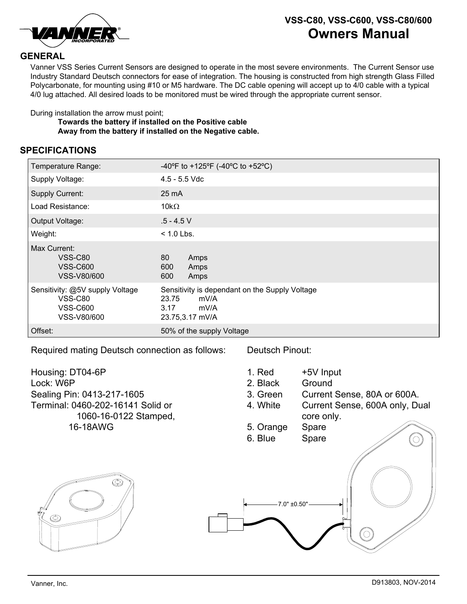

## **VSS-C80, VSS-C600, VSS-C80/600 Owners Manual**

## **GENERAL**

Vanner VSS Series Current Sensors are designed to operate in the most severe environments. The Current Sensor use Industry Standard Deutsch connectors for ease of integration. The housing is constructed from high strength Glass Filled Polycarbonate, for mounting using #10 or M5 hardware. The DC cable opening will accept up to 4/0 cable with a typical 4/0 lug attached. All desired loads to be monitored must be wired through the appropriate current sensor.

During installation the arrow must point;

**Towards the battery if installed on the Positive cable Away from the battery if installed on the Negative cable.**

## **SPECIFICATIONS**

| Temperature Range:                                                                  | -40°F to +125°F (-40°C to +52°C)                                                                   |
|-------------------------------------------------------------------------------------|----------------------------------------------------------------------------------------------------|
| Supply Voltage:                                                                     | $4.5 - 5.5$ Vdc                                                                                    |
| <b>Supply Current:</b>                                                              | $25 \text{ mA}$                                                                                    |
| Load Resistance:                                                                    | 10k $\Omega$                                                                                       |
| Output Voltage:                                                                     | $.5 - 4.5$ V                                                                                       |
| Weight:                                                                             | $< 1.0$ Lbs.                                                                                       |
| Max Current:<br>VSS-C80<br><b>VSS-C600</b><br>VSS-V80/600                           | 80<br>Amps<br>600<br>Amps<br>600<br>Amps                                                           |
| Sensitivity: @5V supply Voltage<br><b>VSS-C80</b><br><b>VSS-C600</b><br>VSS-V80/600 | Sensitivity is dependant on the Supply Voltage<br>23.75<br>mV/A<br>3.17<br>mV/A<br>23.75,3.17 mV/A |
| Offset:                                                                             | 50% of the supply Voltage                                                                          |

Required mating Deutsch connection as follows:

Deutsch Pinout:

Housing: DT04-6P Lock: W6P Sealing Pin: 0413-217-1605 Terminal: 0460-202-16141 Solid or 1060-16-0122 Stamped, 16-18AWG

1. Red +5V Input

- 2. Black Ground
- 3. Green Current Sense, 80A or 600A.
- 4. White Current Sense, 600A only, Dual core only.
- 5. Orange Spare
- 6. Blue Spare